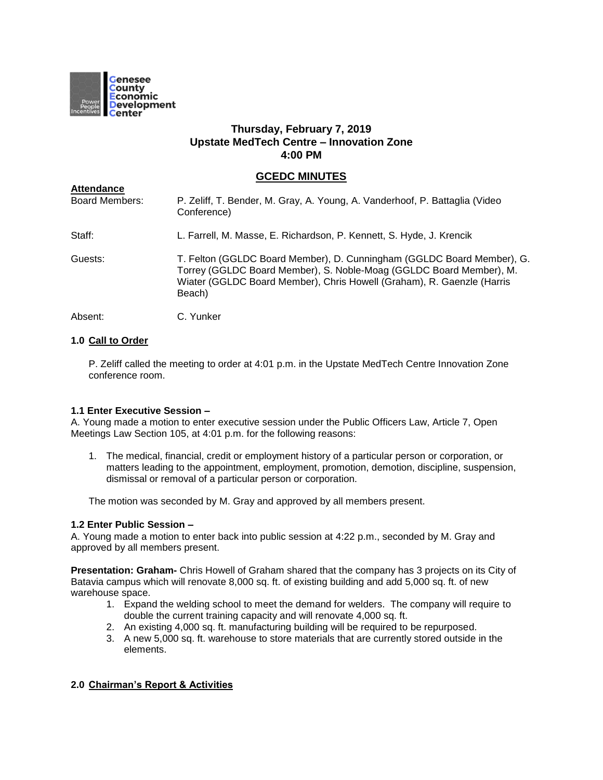

# **Thursday, February 7, 2019 Upstate MedTech Centre – Innovation Zone 4:00 PM**

## **GCEDC MINUTES**

| <b>Attendance</b>     |                                                                                                                                                                                                                                   |
|-----------------------|-----------------------------------------------------------------------------------------------------------------------------------------------------------------------------------------------------------------------------------|
| <b>Board Members:</b> | P. Zeliff, T. Bender, M. Gray, A. Young, A. Vanderhoof, P. Battaglia (Video<br>Conference)                                                                                                                                        |
| Staff:                | L. Farrell, M. Masse, E. Richardson, P. Kennett, S. Hyde, J. Krencik                                                                                                                                                              |
| Guests:               | T. Felton (GGLDC Board Member), D. Cunningham (GGLDC Board Member), G.<br>Torrey (GGLDC Board Member), S. Noble-Moag (GGLDC Board Member), M.<br>Wiater (GGLDC Board Member), Chris Howell (Graham), R. Gaenzle (Harris<br>Beach) |
| Absent:               | C. Yunker                                                                                                                                                                                                                         |

## **1.0 Call to Order**

P. Zeliff called the meeting to order at 4:01 p.m. in the Upstate MedTech Centre Innovation Zone conference room.

## **1.1 Enter Executive Session –**

A. Young made a motion to enter executive session under the Public Officers Law, Article 7, Open Meetings Law Section 105, at 4:01 p.m. for the following reasons:

1. The medical, financial, credit or employment history of a particular person or corporation, or matters leading to the appointment, employment, promotion, demotion, discipline, suspension, dismissal or removal of a particular person or corporation.

The motion was seconded by M. Gray and approved by all members present.

## **1.2 Enter Public Session –**

A. Young made a motion to enter back into public session at 4:22 p.m., seconded by M. Gray and approved by all members present.

**Presentation: Graham-** Chris Howell of Graham shared that the company has 3 projects on its City of Batavia campus which will renovate 8,000 sq. ft. of existing building and add 5,000 sq. ft. of new warehouse space.

- 1. Expand the welding school to meet the demand for welders. The company will require to double the current training capacity and will renovate 4,000 sq. ft.
- 2. An existing 4,000 sq. ft. manufacturing building will be required to be repurposed.
- 3. A new 5,000 sq. ft. warehouse to store materials that are currently stored outside in the elements.

## **2.0 Chairman's Report & Activities**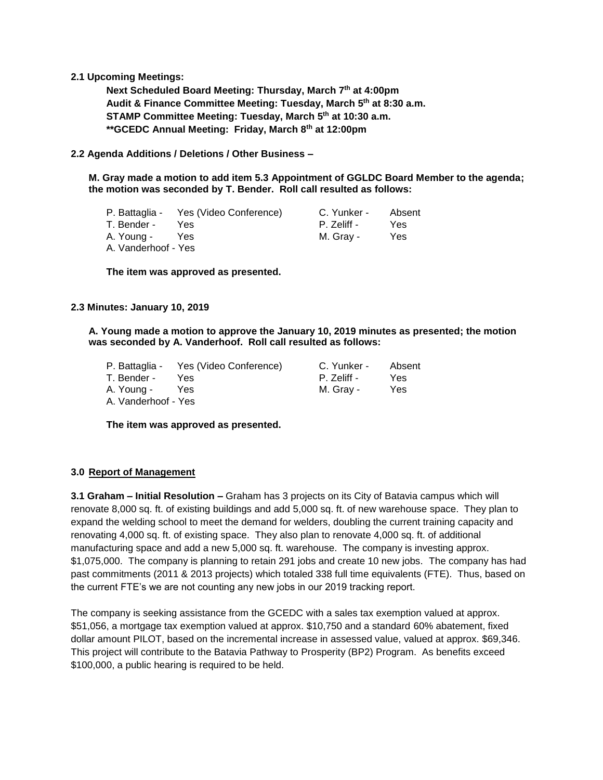## **2.1 Upcoming Meetings:**

**Next Scheduled Board Meeting: Thursday, March 7 th at 4:00pm Audit & Finance Committee Meeting: Tuesday, March 5 th at 8:30 a.m. STAMP Committee Meeting: Tuesday, March 5 th at 10:30 a.m. \*\*GCEDC Annual Meeting: Friday, March 8th at 12:00pm**

**2.2 Agenda Additions / Deletions / Other Business –**

**M. Gray made a motion to add item 5.3 Appointment of GGLDC Board Member to the agenda; the motion was seconded by T. Bender. Roll call resulted as follows:**

|                     | P. Battaglia - Yes (Video Conference) | C. Yunker - | Absent |
|---------------------|---------------------------------------|-------------|--------|
| T. Bender -         | Yes.                                  | P. Zeliff - | Yes.   |
| A. Young -          | Yes.                                  | M. Gray -   | Yes    |
| A. Vanderhoof - Yes |                                       |             |        |

**The item was approved as presented.**

#### **2.3 Minutes: January 10, 2019**

**A. Young made a motion to approve the January 10, 2019 minutes as presented; the motion was seconded by A. Vanderhoof. Roll call resulted as follows:**

|                     | P. Battaglia - Yes (Video Conference) | C. Yunker - | Absent |
|---------------------|---------------------------------------|-------------|--------|
| T. Bender -         | Yes.                                  | P. Zeliff - | Yes    |
| A. Youna -          | Yes.                                  | M. Grav -   | Yes    |
| A. Vanderhoof - Yes |                                       |             |        |

**The item was approved as presented.**

#### **3.0 Report of Management**

**3.1 Graham – Initial Resolution –** Graham has 3 projects on its City of Batavia campus which will renovate 8,000 sq. ft. of existing buildings and add 5,000 sq. ft. of new warehouse space. They plan to expand the welding school to meet the demand for welders, doubling the current training capacity and renovating 4,000 sq. ft. of existing space. They also plan to renovate 4,000 sq. ft. of additional manufacturing space and add a new 5,000 sq. ft. warehouse. The company is investing approx. \$1,075,000. The company is planning to retain 291 jobs and create 10 new jobs. The company has had past commitments (2011 & 2013 projects) which totaled 338 full time equivalents (FTE). Thus, based on the current FTE's we are not counting any new jobs in our 2019 tracking report.

The company is seeking assistance from the GCEDC with a sales tax exemption valued at approx. \$51,056, a mortgage tax exemption valued at approx. \$10,750 and a standard 60% abatement, fixed dollar amount PILOT, based on the incremental increase in assessed value, valued at approx. \$69,346. This project will contribute to the Batavia Pathway to Prosperity (BP2) Program. As benefits exceed \$100,000, a public hearing is required to be held.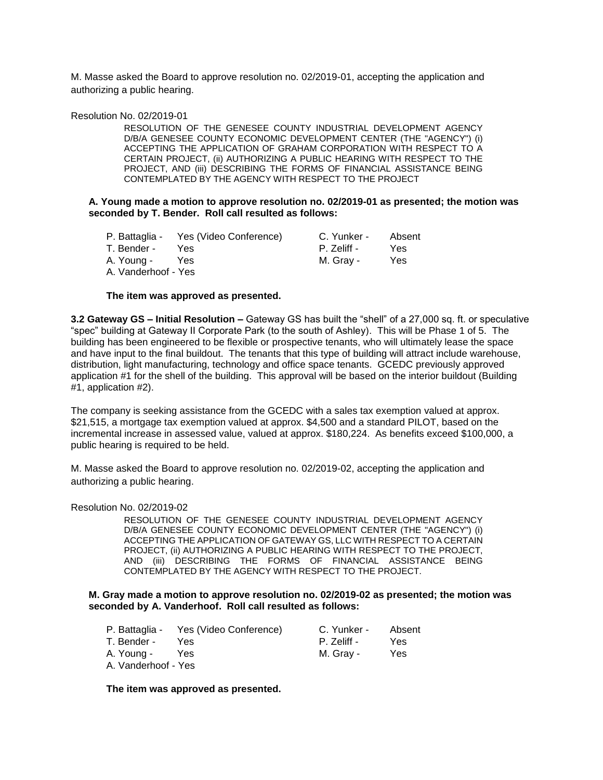M. Masse asked the Board to approve resolution no. 02/2019-01, accepting the application and authorizing a public hearing.

#### Resolution No. 02/2019-01

RESOLUTION OF THE GENESEE COUNTY INDUSTRIAL DEVELOPMENT AGENCY D/B/A GENESEE COUNTY ECONOMIC DEVELOPMENT CENTER (THE "AGENCY") (i) ACCEPTING THE APPLICATION OF GRAHAM CORPORATION WITH RESPECT TO A CERTAIN PROJECT, (ii) AUTHORIZING A PUBLIC HEARING WITH RESPECT TO THE PROJECT, AND (iii) DESCRIBING THE FORMS OF FINANCIAL ASSISTANCE BEING CONTEMPLATED BY THE AGENCY WITH RESPECT TO THE PROJECT

#### **A. Young made a motion to approve resolution no. 02/2019-01 as presented; the motion was seconded by T. Bender. Roll call resulted as follows:**

|                     | P. Battaglia - Yes (Video Conference) | C. Yunker - | Absent |
|---------------------|---------------------------------------|-------------|--------|
| T. Bender -         | Yes.                                  | P. Zeliff - | Yes.   |
| A. Young -          | <b>Yes</b>                            | M. Gray -   | Yes    |
| A. Vanderhoof - Yes |                                       |             |        |

#### **The item was approved as presented.**

**3.2 Gateway GS – Initial Resolution –** Gateway GS has built the "shell" of a 27,000 sq. ft. or speculative "spec" building at Gateway II Corporate Park (to the south of Ashley). This will be Phase 1 of 5. The building has been engineered to be flexible or prospective tenants, who will ultimately lease the space and have input to the final buildout. The tenants that this type of building will attract include warehouse, distribution, light manufacturing, technology and office space tenants. GCEDC previously approved application #1 for the shell of the building. This approval will be based on the interior buildout (Building #1, application #2).

The company is seeking assistance from the GCEDC with a sales tax exemption valued at approx. \$21,515, a mortgage tax exemption valued at approx. \$4,500 and a standard PILOT, based on the incremental increase in assessed value, valued at approx. \$180,224. As benefits exceed \$100,000, a public hearing is required to be held.

M. Masse asked the Board to approve resolution no. 02/2019-02, accepting the application and authorizing a public hearing.

#### Resolution No. 02/2019-02

RESOLUTION OF THE GENESEE COUNTY INDUSTRIAL DEVELOPMENT AGENCY D/B/A GENESEE COUNTY ECONOMIC DEVELOPMENT CENTER (THE "AGENCY") (i) ACCEPTING THE APPLICATION OF GATEWAY GS, LLC WITH RESPECT TO A CERTAIN PROJECT, (ii) AUTHORIZING A PUBLIC HEARING WITH RESPECT TO THE PROJECT, AND (iii) DESCRIBING THE FORMS OF FINANCIAL ASSISTANCE BEING CONTEMPLATED BY THE AGENCY WITH RESPECT TO THE PROJECT.

**M. Gray made a motion to approve resolution no. 02/2019-02 as presented; the motion was seconded by A. Vanderhoof. Roll call resulted as follows:**

|                     | P. Battaglia - Yes (Video Conference) | C. Yunker - | Absent |
|---------------------|---------------------------------------|-------------|--------|
| T. Bender -         | Yes                                   | P. Zeliff - | Yes.   |
| A. Young -          | Yes.                                  | M. Gray -   | Yes    |
| A. Vanderhoof - Yes |                                       |             |        |

**The item was approved as presented.**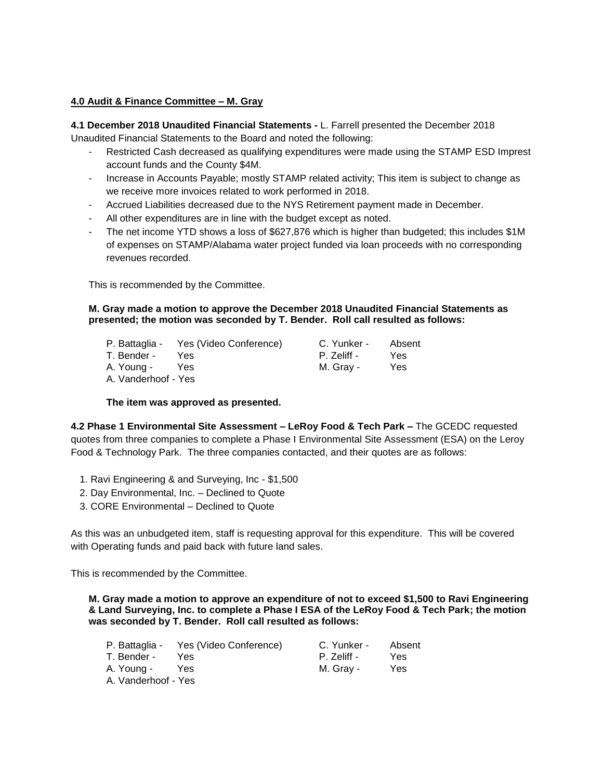## **4.0 Audit & Finance Committee – M. Gray**

**4.1 December 2018 Unaudited Financial Statements -** L. Farrell presented the December 2018 Unaudited Financial Statements to the Board and noted the following:

- Restricted Cash decreased as qualifying expenditures were made using the STAMP ESD Imprest account funds and the County \$4M.
- Increase in Accounts Payable; mostly STAMP related activity; This item is subject to change as we receive more invoices related to work performed in 2018.
- Accrued Liabilities decreased due to the NYS Retirement payment made in December.
- All other expenditures are in line with the budget except as noted.
- The net income YTD shows a loss of \$627,876 which is higher than budgeted; this includes \$1M of expenses on STAMP/Alabama water project funded via loan proceeds with no corresponding revenues recorded.

This is recommended by the Committee.

## **M. Gray made a motion to approve the December 2018 Unaudited Financial Statements as presented; the motion was seconded by T. Bender. Roll call resulted as follows:**

|                     | P. Battaglia - Yes (Video Conference) | C. Yunker - | Absent |
|---------------------|---------------------------------------|-------------|--------|
| T. Bender -         | Yes.                                  | P. Zeliff - | Yes    |
| A. Young -          | <b>Yes</b>                            | M. Gray -   | Yes    |
| A. Vanderhoof - Yes |                                       |             |        |

## **The item was approved as presented.**

**4.2 Phase 1 Environmental Site Assessment – LeRoy Food & Tech Park –** The GCEDC requested quotes from three companies to complete a Phase I Environmental Site Assessment (ESA) on the Leroy Food & Technology Park. The three companies contacted, and their quotes are as follows:

- 1. Ravi Engineering & and Surveying, Inc \$1,500
- 2. Day Environmental, Inc. Declined to Quote
- 3. CORE Environmental Declined to Quote

As this was an unbudgeted item, staff is requesting approval for this expenditure. This will be covered with Operating funds and paid back with future land sales.

This is recommended by the Committee.

**M. Gray made a motion to approve an expenditure of not to exceed \$1,500 to Ravi Engineering & Land Surveying, Inc. to complete a Phase I ESA of the LeRoy Food & Tech Park; the motion was seconded by T. Bender. Roll call resulted as follows:**

|                     | P. Battaglia - Yes (Video Conference) | C. Yunker - | Absent |
|---------------------|---------------------------------------|-------------|--------|
| T. Bender -         | Yes.                                  | P. Zeliff - | Yes    |
| A. Young -          | Yes                                   | M. Grav -   | Yes    |
| A. Vanderhoof - Yes |                                       |             |        |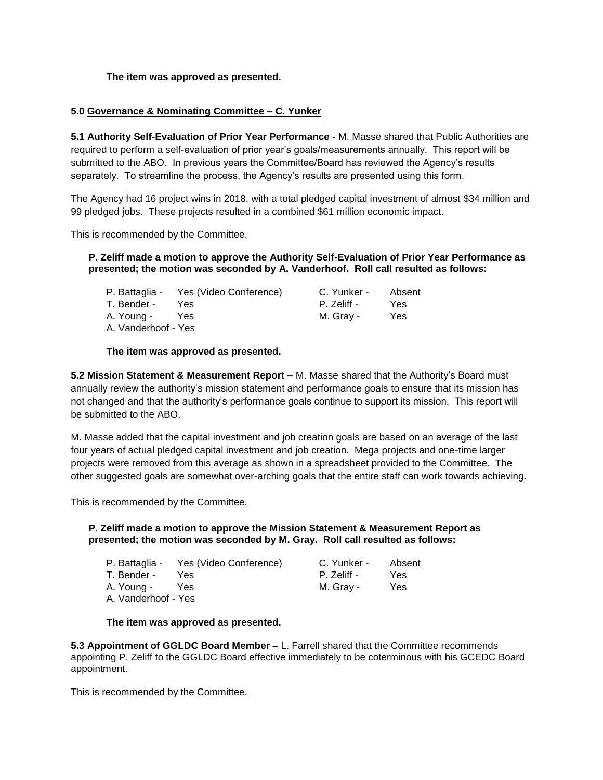## **The item was approved as presented.**

## **5.0 Governance & Nominating Committee – C. Yunker**

**5.1 Authority Self-Evaluation of Prior Year Performance -** M. Masse shared that Public Authorities are required to perform a self-evaluation of prior year's goals/measurements annually. This report will be submitted to the ABO. In previous years the Committee/Board has reviewed the Agency's results separately. To streamline the process, the Agency's results are presented using this form.

The Agency had 16 project wins in 2018, with a total pledged capital investment of almost \$34 million and 99 pledged jobs. These projects resulted in a combined \$61 million economic impact.

This is recommended by the Committee.

## **P. Zeliff made a motion to approve the Authority Self-Evaluation of Prior Year Performance as presented; the motion was seconded by A. Vanderhoof. Roll call resulted as follows:**

|                     | P. Battaglia - Yes (Video Conference) | C. Yunker - | Absent |
|---------------------|---------------------------------------|-------------|--------|
| T. Bender -         | Yes.                                  | P. Zeliff - | Yes.   |
| A. Young -          | Yes.                                  | M. Grav -   | Yes    |
| A. Vanderhoof - Yes |                                       |             |        |

## **The item was approved as presented.**

**5.2 Mission Statement & Measurement Report –** M. Masse shared that the Authority's Board must annually review the authority's mission statement and performance goals to ensure that its mission has not changed and that the authority's performance goals continue to support its mission. This report will be submitted to the ABO.

M. Masse added that the capital investment and job creation goals are based on an average of the last four years of actual pledged capital investment and job creation. Mega projects and one-time larger projects were removed from this average as shown in a spreadsheet provided to the Committee. The other suggested goals are somewhat over-arching goals that the entire staff can work towards achieving.

This is recommended by the Committee.

## **P. Zeliff made a motion to approve the Mission Statement & Measurement Report as presented; the motion was seconded by M. Gray. Roll call resulted as follows:**

|                     | P. Battaglia - Yes (Video Conference) | C. Yunker - | Absent |
|---------------------|---------------------------------------|-------------|--------|
| T. Bender -         | Yes.                                  | P. Zeliff - | Yes    |
| A. Young -          | Yes                                   | M. Grav -   | Yes.   |
| A. Vanderhoof - Yes |                                       |             |        |

#### **The item was approved as presented.**

**5.3 Appointment of GGLDC Board Member –** L. Farrell shared that the Committee recommends appointing P. Zeliff to the GGLDC Board effective immediately to be coterminous with his GCEDC Board appointment.

This is recommended by the Committee.